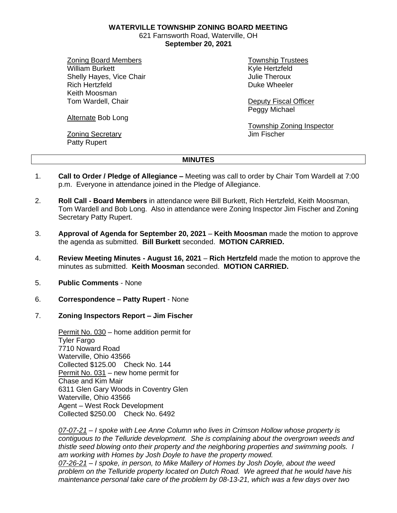**WATERVILLE TOWNSHIP ZONING BOARD MEETING**

621 Farnsworth Road, Waterville, OH **September 20, 2021**

Zoning Board Members William Burkett Shelly Hayes, Vice Chair Rich Hertzfeld Keith Moosman Tom Wardell, Chair

Alternate Bob Long

Zoning Secretary Patty Rupert

Township Trustees Kyle Hertzfeld Julie Theroux Duke Wheeler

Deputy Fiscal Officer Peggy Michael

Township Zoning Inspector Jim Fischer

## **MINUTES**

- 1. **Call to Order / Pledge of Allegiance –** Meeting was call to order by Chair Tom Wardell at 7:00 p.m. Everyone in attendance joined in the Pledge of Allegiance.
- 2. **Roll Call - Board Members** in attendance were Bill Burkett, Rich Hertzfeld, Keith Moosman, Tom Wardell and Bob Long. Also in attendance were Zoning Inspector Jim Fischer and Zoning Secretary Patty Rupert.
- 3. **Approval of Agenda for September 20, 2021 Keith Moosman** made the motion to approve the agenda as submitted. **Bill Burkett** seconded. **MOTION CARRIED.**
- 4. **Review Meeting Minutes - August 16, 2021 Rich Hertzfeld** made the motion to approve the minutes as submitted. **Keith Moosman** seconded. **MOTION CARRIED.**
- 5. **Public Comments** None
- 6. **Correspondence – Patty Rupert** None
- 7. **Zoning Inspectors Report – Jim Fischer**

Permit No. 030 – home addition permit for Tyler Fargo 7710 Noward Road Waterville, Ohio 43566 Collected \$125.00 Check No. 144 Permit No. 031 – new home permit for Chase and Kim Mair 6311 Glen Gary Woods in Coventry Glen Waterville, Ohio 43566 Agent – West Rock Development Collected \$250.00 Check No. 6492

*07-07-21 – I spoke with Lee Anne Column who lives in Crimson Hollow whose property is contiguous to the Telluride development. She is complaining about the overgrown weeds and thistle seed blowing onto their property and the neighboring properties and swimming pools. I am working with Homes by Josh Doyle to have the property mowed. 07-26-21 – I spoke, in person, to Mike Mallery of Homes by Josh Doyle, about the weed* 

*problem on the Telluride property located on Dutch Road. We agreed that he would have his maintenance personal take care of the problem by 08-13-21, which was a few days over two*